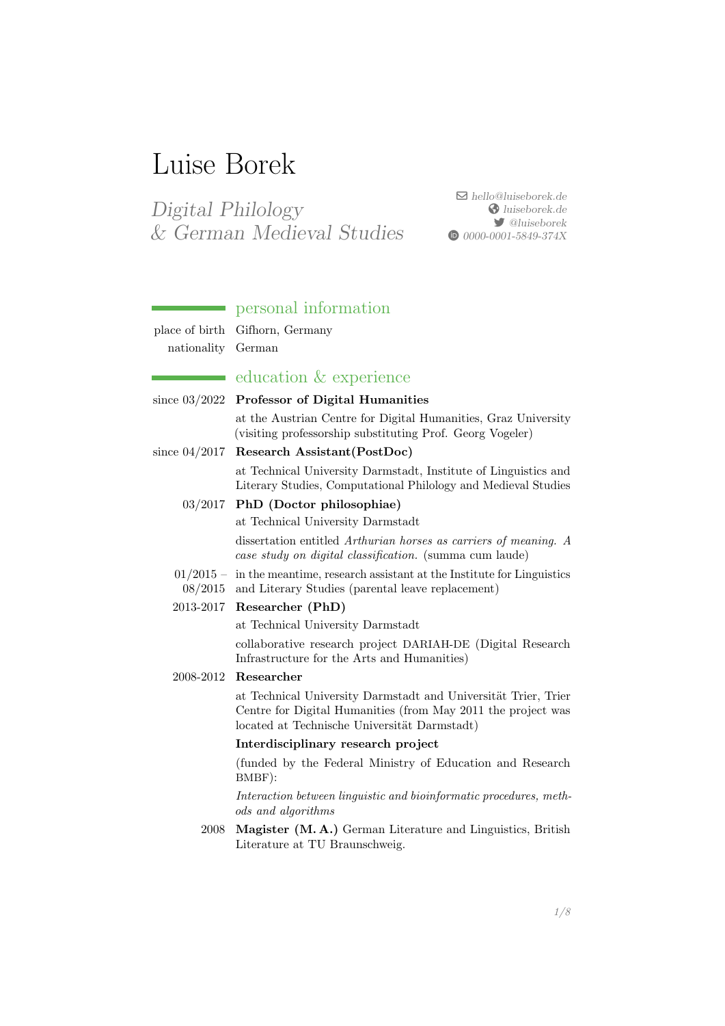# Luise Borek

Digital Philology & German Medieval Studies

 $\boxdot$  [hello@luiseborek.de](mailto:hello@luiseborek.de)  $\bigcirc$ [luiseborek.de](https://luiseborek.de) [@luiseborek](https://twitter.com/@luiseborek) **1** [0000-0001-5849-374X](https://orcid.org/0000-0001-5849-374X)

## personal information

place of birth Gifhorn, Germany nationality German

# education & experience

| since $03/2022$ Professor of Digital Humanities                                                                                   |
|-----------------------------------------------------------------------------------------------------------------------------------|
| at the Austrian Centre for Digital Humanities, Graz University<br>(visiting professorship substituting Prof. Georg Vogeler)       |
| since $04/2017$ Research Assistant (PostDoc)                                                                                      |
| at Technical University Darmstadt, Institute of Linguistics and<br>Literary Studies, Computational Philology and Medieval Studies |

## 03/2017 PhD (Doctor philosophiae)

at Technical University Darmstadt

dissertation entitled Arthurian horses as carriers of meaning. A case study on digital classification. (summa cum laude)

- 01/2015 in the meantime, research assistant at the Institute for Linguistics
- 08/2015 and Literary Studies (parental leave replacement)

# 2013-2017 Researcher (PhD)

at Technical University Darmstadt

collaborative research project DARIAH-DE (Digital Research Infrastructure for the Arts and Humanities)

## 2008-2012 Researcher

at Technical University Darmstadt and Universität Trier, Trier Centre for Digital Humanities (from May 2011 the project was located at Technische Universität Darmstadt)

### Interdisciplinary research project

(funded by the Federal Ministry of Education and Research BMBF):

Interaction between linguistic and bioinformatic procedures, methods and algorithms

2008 Magister (M. A.) German Literature and Linguistics, British Literature at TU Braunschweig.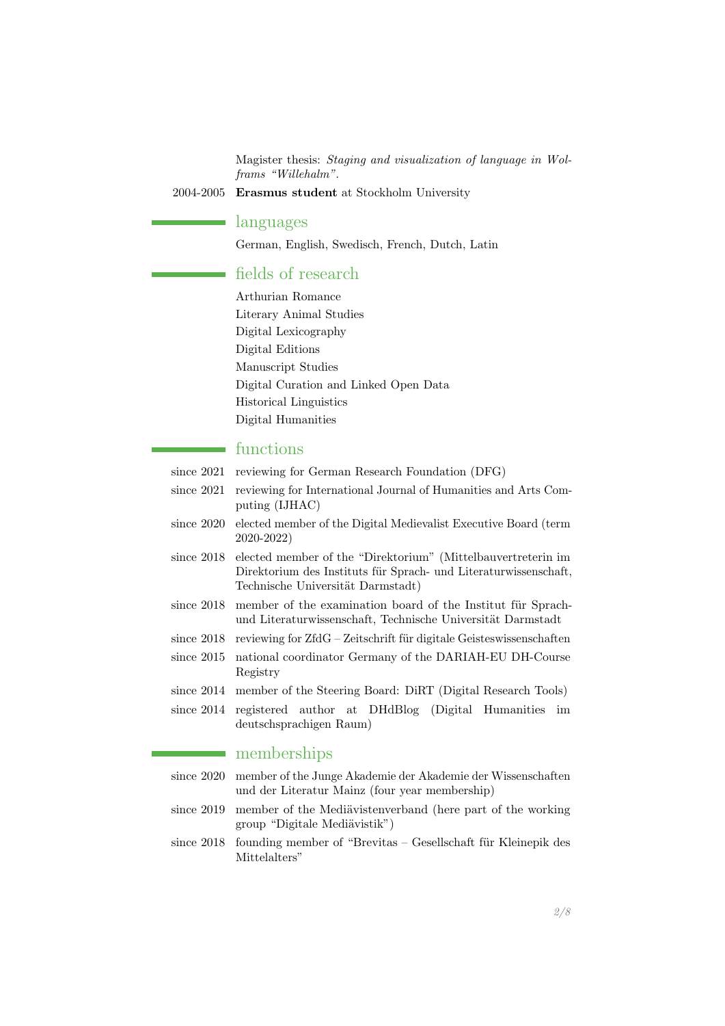Magister thesis: Staging and visualization of language in Wolframs "Willehalm".

2004-2005 Erasmus student at Stockholm University

## languages

German, English, Swedisch, French, Dutch, Latin

## fields of research

Arthurian Romance Literary Animal Studies Digital Lexicography Digital Editions Manuscript Studies Digital Curation and Linked Open Data Historical Linguistics Digital Humanities

# functions

- since 2021 reviewing for German Research Foundation (DFG)
- since 2021 reviewing for International Journal of Humanities and Arts Computing (IJHAC)
- since 2020 elected member of the Digital Medievalist Executive Board (term 2020-2022)
- since 2018 elected member of the "Direktorium" (Mittelbauvertreterin im Direktorium des Instituts für Sprach- und Literaturwissenschaft, Technische Universität Darmstadt)
- since  $2018$  member of the examination board of the Institut für Sprachund Literaturwissenschaft, Technische Universität Darmstadt
- since  $2018$  reviewing for  $Zf dG Zeitschrift$  für digitale Geisteswissenschaften
- since 2015 national coordinator Germany of the DARIAH-EU DH-Course Registry
- since 2014 member of the Steering Board: DiRT (Digital Research Tools)
- since 2014 registered author at DHdBlog (Digital Humanities im deutschsprachigen Raum)

## memberships

- since 2020 member of the Junge Akademie der Akademie der Wissenschaften und der Literatur Mainz (four year membership)
- since 2019 member of the Mediavistenverband (here part of the working group "Digitale Mediävistik")
- since  $2018$  founding member of "Brevitas Gesellschaft für Kleinepik des Mittelalters"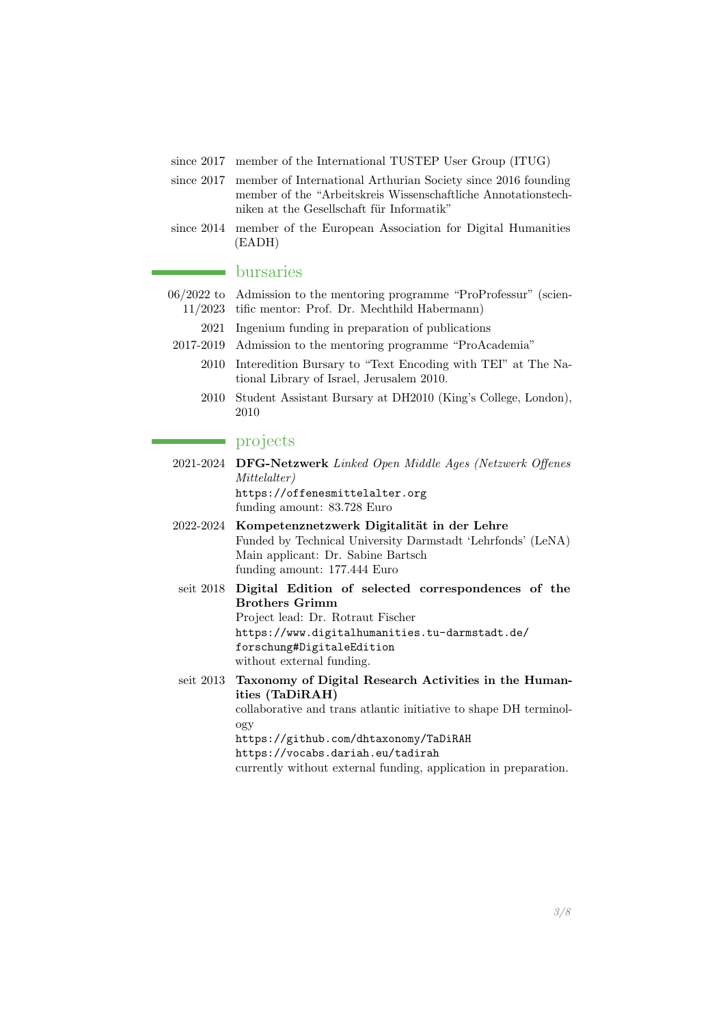- since 2017 member of the International TUSTEP User Group (ITUG)
- since 2017 member of International Arthurian Society since 2016 founding member of the "Arbeitskreis Wissenschaftliche Annotationstechniken at the Gesellschaft für Informatik"
- since 2014 member of the European Association for Digital Humanities (EADH)

#### bursaries

- 06/2022 to Admission to the mentoring programme "ProProfessur" (scien-11/2023 tific mentor: Prof. Dr. Mechthild Habermann)
	- 2021 Ingenium funding in preparation of publications
- 2017-2019 Admission to the mentoring programme "ProAcademia"
	- 2010 Interedition Bursary to "Text Encoding with TEI" at The National Library of Israel, Jerusalem 2010.
	- 2010 Student Assistant Bursary at DH2010 (King's College, London), 2010

#### projects

2021-2024 DFG-Netzwerk Linked Open Middle Ages (Netzwerk Offenes Mittelalter) <https://offenesmittelalter.org> funding amount: 83.728 Euro 2022-2024 Kompetenznetzwerk Digitalität in der Lehre

Funded by Technical University Darmstadt 'Lehrfonds' (LeNA) Main applicant: Dr. Sabine Bartsch funding amount: 177.444 Euro

- seit 2018 Digital Edition of selected correspondences of the Brothers Grimm Project lead: Dr. Rotraut Fischer [https://www.digitalhumanities.tu-darmstadt.de/](https://www.digitalhumanities.tu-darmstadt.de/forschung#DigitaleEdition) [forschung#DigitaleEdition](https://www.digitalhumanities.tu-darmstadt.de/forschung#DigitaleEdition) without external funding.
- seit 2013 Taxonomy of Digital Research Activities in the Humanities (TaDiRAH) collaborative and trans atlantic initiative to shape DH terminology <https://github.com/dhtaxonomy/TaDiRAH> <https://vocabs.dariah.eu/tadirah>

currently without external funding, application in preparation.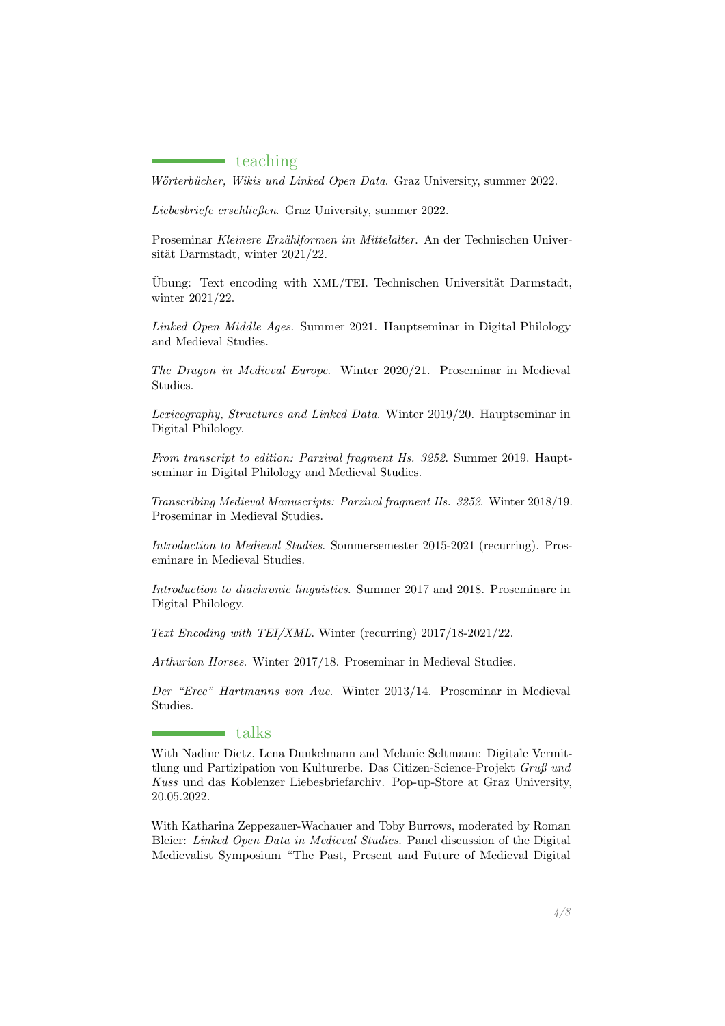#### teaching

Wörterbücher, Wikis und Linked Open Data. Graz University, summer 2022.

Liebesbriefe erschließen. Graz University, summer 2022.

Proseminar Kleinere Erzählformen im Mittelalter. An der Technischen Universität Darmstadt, winter 2021/22.

Übung: Text encoding with XML/TEI. Technischen Universität Darmstadt, winter 2021/22.

Linked Open Middle Ages. Summer 2021. Hauptseminar in Digital Philology and Medieval Studies.

The Dragon in Medieval Europe. Winter 2020/21. Proseminar in Medieval Studies.

Lexicography, Structures and Linked Data. Winter 2019/20. Hauptseminar in Digital Philology.

From transcript to edition: Parzival fragment Hs. 3252. Summer 2019. Hauptseminar in Digital Philology and Medieval Studies.

Transcribing Medieval Manuscripts: Parzival fragment Hs. 3252. Winter 2018/19. Proseminar in Medieval Studies.

Introduction to Medieval Studies. Sommersemester 2015-2021 (recurring). Proseminare in Medieval Studies.

Introduction to diachronic linguistics. Summer 2017 and 2018. Proseminare in Digital Philology.

Text Encoding with TEI/XML. Winter (recurring) 2017/18-2021/22.

Arthurian Horses. Winter 2017/18. Proseminar in Medieval Studies.

Der "Erec" Hartmanns von Aue. Winter 2013/14. Proseminar in Medieval Studies.

### talks

With Nadine Dietz, Lena Dunkelmann and Melanie Seltmann: Digitale Vermittlung und Partizipation von Kulturerbe. Das Citizen-Science-Projekt Gruß und Kuss und das Koblenzer Liebesbriefarchiv. Pop-up-Store at Graz University, 20.05.2022.

With Katharina Zeppezauer-Wachauer and Toby Burrows, moderated by Roman Bleier: Linked Open Data in Medieval Studies. Panel discussion of the Digital Medievalist Symposium "The Past, Present and Future of Medieval Digital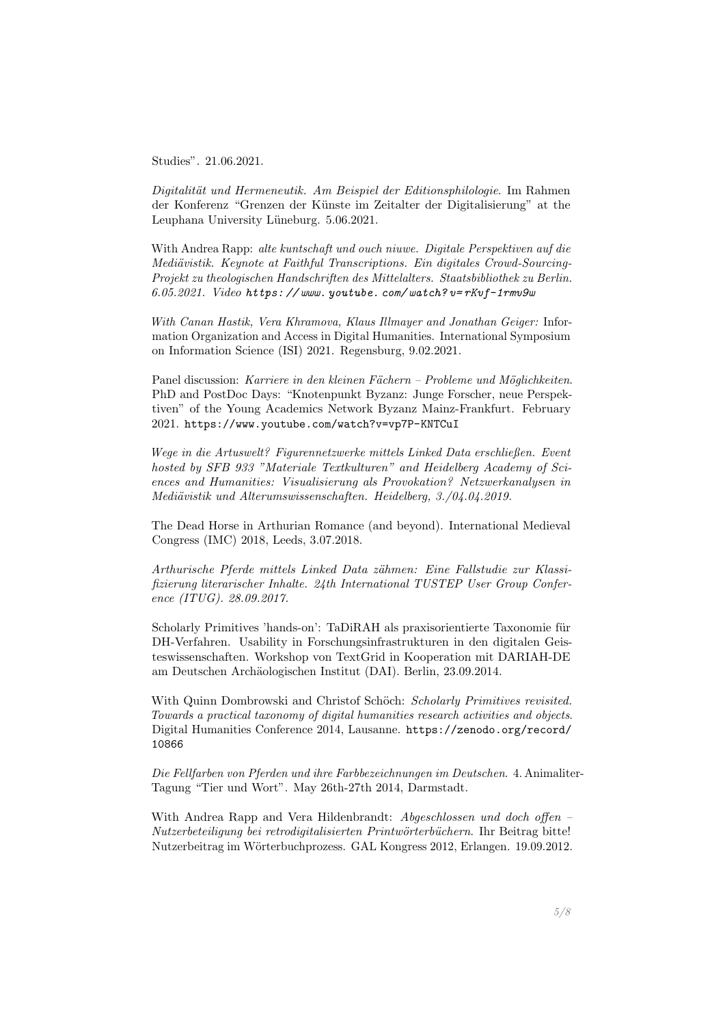Studies". 21.06.2021.

Digitalität und Hermeneutik. Am Beispiel der Editionsphilologie. Im Rahmen der Konferenz "Grenzen der Künste im Zeitalter der Digitalisierung" at the Leuphana University Lüneburg. 5.06.2021.

With Andrea Rapp: alte kuntschaft und ouch niuwe. Digitale Perspektiven auf die Mediävistik. Keynote at Faithful Transcriptions. Ein digitales Crowd-Sourcing-Projekt zu theologischen Handschriften des Mittelalters. Staatsbibliothek zu Berlin.  $6.05.2021.$  Video https://www.youtube.com/watch?v=rKvf-1rmv9w

With Canan Hastik, Vera Khramova, Klaus Illmayer and Jonathan Geiger: Information Organization and Access in Digital Humanities. International Symposium on Information Science (ISI) 2021. Regensburg, 9.02.2021.

Panel discussion: Karriere in den kleinen Fächern – Probleme und Möglichkeiten. PhD and PostDoc Days: "Knotenpunkt Byzanz: Junge Forscher, neue Perspektiven" of the Young Academics Network Byzanz Mainz-Frankfurt. February 2021. <https://www.youtube.com/watch?v=vp7P-KNTCuI>

Wege in die Artuswelt? Figurennetzwerke mittels Linked Data erschließen. Event hosted by SFB 933 "Materiale Textkulturen" and Heidelberg Academy of Sciences and Humanities: Visualisierung als Provokation? Netzwerkanalysen in Mediävistik und Alterumswissenschaften. Heidelberg, 3./04.04.2019.

The Dead Horse in Arthurian Romance (and beyond). International Medieval Congress (IMC) 2018, Leeds, 3.07.2018.

Arthurische Pferde mittels Linked Data z¨ahmen: Eine Fallstudie zur Klassifizierung literarischer Inhalte. 24th International TUSTEP User Group Conference (ITUG). 28.09.2017.

Scholarly Primitives 'hands-on': TaDiRAH als praxisorientierte Taxonomie für DH-Verfahren. Usability in Forschungsinfrastrukturen in den digitalen Geisteswissenschaften. Workshop von TextGrid in Kooperation mit DARIAH-DE am Deutschen Arch¨aologischen Institut (DAI). Berlin, 23.09.2014.

With Quinn Dombrowski and Christof Schöch: Scholarly Primitives revisited. Towards a practical taxonomy of digital humanities research activities and objects. Digital Humanities Conference 2014, Lausanne. [https://zenodo.org/record/](https://zenodo.org/record/10866) [10866](https://zenodo.org/record/10866)

Die Fellfarben von Pferden und ihre Farbbezeichnungen im Deutschen. 4. Animaliter-Tagung "Tier und Wort". May 26th-27th 2014, Darmstadt.

With Andrea Rapp and Vera Hildenbrandt: Abgeschlossen und doch offen – Nutzerbeteiligung bei retrodigitalisierten Printwörterbüchern. Ihr Beitrag bitte! Nutzerbeitrag im Wörterbuchprozess. GAL Kongress 2012, Erlangen. 19.09.2012.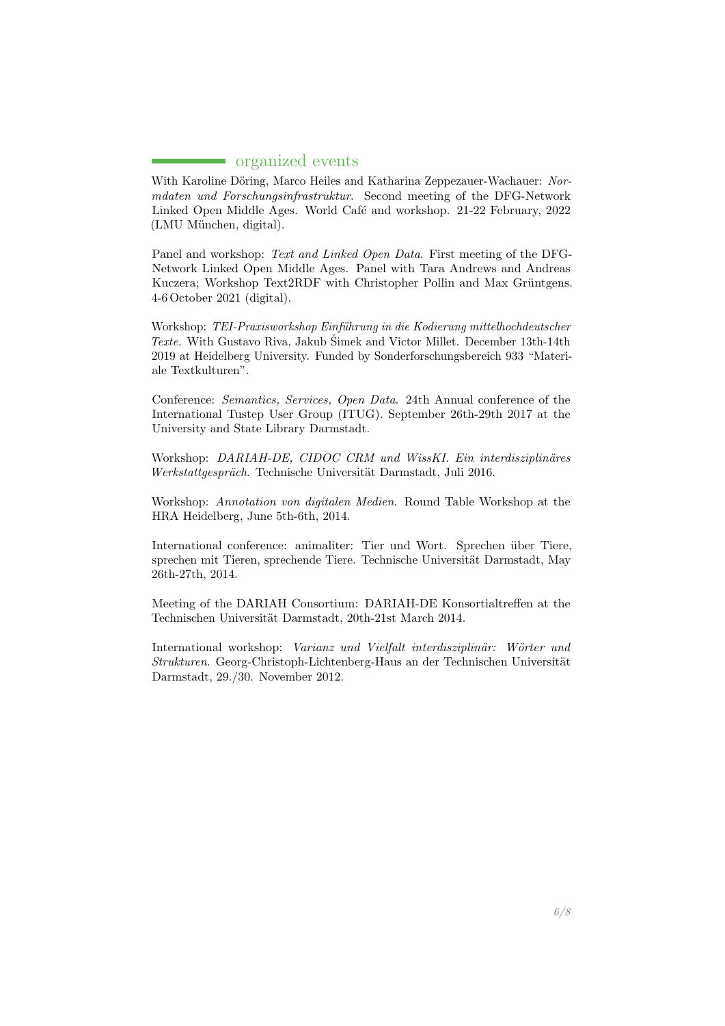### $\blacksquare$  organized events

With Karoline Döring, Marco Heiles and Katharina Zeppezauer-Wachauer: Normdaten und Forschungsinfrastruktur. Second meeting of the DFG-Network Linked Open Middle Ages. World Café and workshop. 21-22 February, 2022 (LMU München, digital).

Panel and workshop: Text and Linked Open Data. First meeting of the DFG-Network Linked Open Middle Ages. Panel with Tara Andrews and Andreas Kuczera; Workshop Text2RDF with Christopher Pollin and Max Grüntgens. 4-6 October 2021 (digital).

Workshop: TEI-Praxisworkshop Einführung in die Kodierung mittelhochdeutscher Texte. With Gustavo Riva, Jakub Šimek and Victor Millet. December 13th-14th 2019 at Heidelberg University. Funded by Sonderforschungsbereich 933 "Materiale Textkulturen".

Conference: Semantics, Services, Open Data. 24th Annual conference of the International Tustep User Group (ITUG). September 26th-29th 2017 at the University and State Library Darmstadt.

Workshop: DARIAH-DE, CIDOC CRM und WissKI. Ein interdisziplinäres Werkstattgespräch. Technische Universität Darmstadt, Juli 2016.

Workshop: Annotation von digitalen Medien. Round Table Workshop at the HRA Heidelberg, June 5th-6th, 2014.

International conference: animaliter: Tier und Wort. Sprechen über Tiere, sprechen mit Tieren, sprechende Tiere. Technische Universität Darmstadt, May 26th-27th, 2014.

Meeting of the DARIAH Consortium: DARIAH-DE Konsortialtreffen at the Technischen Universität Darmstadt, 20th-21st March 2014.

International workshop: Varianz und Vielfalt interdisziplinär: Wörter und Strukturen. Georg-Christoph-Lichtenberg-Haus an der Technischen Universität Darmstadt, 29./30. November 2012.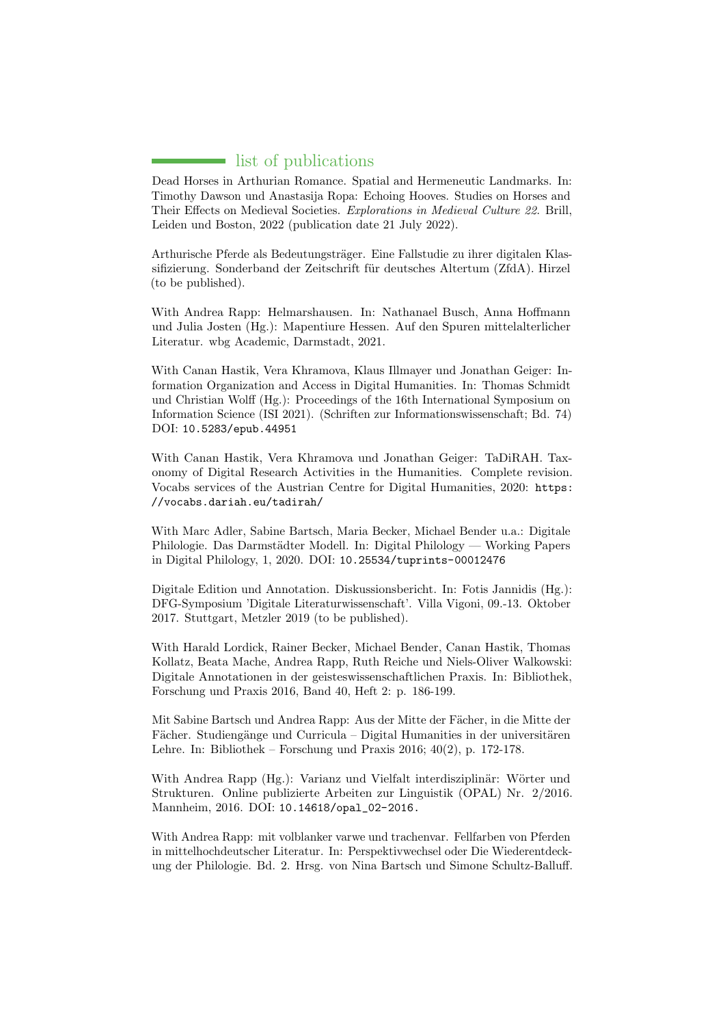# ist of publications

<span id="page-6-0"></span>Dead Horses in Arthurian Romance. Spatial and Hermeneutic Landmarks. In: Timothy Dawson und Anastasija Ropa: Echoing Hooves. Studies on Horses and Their Effects on Medieval Societies. Explorations in Medieval Culture 22. Brill, Leiden und Boston, 2022 (publication date 21 July 2022).

Arthurische Pferde als Bedeutungsträger. Eine Fallstudie zu ihrer digitalen Klassifizierung. Sonderband der Zeitschrift für deutsches Altertum (ZfdA). Hirzel (to be published).

With Andrea Rapp: Helmarshausen. In: Nathanael Busch, Anna Hoffmann und Julia Josten (Hg.): Mapentiure Hessen. Auf den Spuren mittelalterlicher Literatur. wbg Academic, Darmstadt, 2021.

With Canan Hastik, Vera Khramova, Klaus Illmayer und Jonathan Geiger: Information Organization and Access in Digital Humanities. In: Thomas Schmidt und Christian Wolff (Hg.): Proceedings of the 16th International Symposium on Information Science (ISI 2021). (Schriften zur Informationswissenschaft; Bd. 74) DOI: <10.5283/epub.44951>

With Canan Hastik, Vera Khramova und Jonathan Geiger: TaDiRAH. Taxonomy of Digital Research Activities in the Humanities. Complete revision. Vocabs services of the Austrian Centre for Digital Humanities, 2020: [https:](https://vocabs.dariah.eu/tadirah/) [//vocabs.dariah.eu/tadirah/](https://vocabs.dariah.eu/tadirah/)

With Marc Adler, Sabine Bartsch, Maria Becker, Michael Bender u.a.: Digitale Philologie. Das Darmstädter Modell. In: Digital Philology — Working Papers in Digital Philology, 1, 2020. DOI: <10.25534/tuprints-00012476>

Digitale Edition und Annotation. Diskussionsbericht. In: Fotis Jannidis (Hg.): DFG-Symposium 'Digitale Literaturwissenschaft'. Villa Vigoni, 09.-13. Oktober 2017. Stuttgart, Metzler 2019 (to be published).

With Harald Lordick, Rainer Becker, Michael Bender, Canan Hastik, Thomas Kollatz, Beata Mache, Andrea Rapp, Ruth Reiche und Niels-Oliver Walkowski: Digitale Annotationen in der geisteswissenschaftlichen Praxis. In: Bibliothek, Forschung und Praxis 2016, Band 40, Heft 2: p. 186-199.

Mit Sabine Bartsch und Andrea Rapp: Aus der Mitte der Fächer, in die Mitte der Fächer. Studiengänge und Curricula – Digital Humanities in der universitären Lehre. In: Bibliothek – Forschung und Praxis 2016; 40(2), p. 172-178.

With Andrea Rapp (Hg.): Varianz und Vielfalt interdisziplinär: Wörter und Strukturen. Online publizierte Arbeiten zur Linguistik (OPAL) Nr. 2/2016. Mannheim, 2016. DOI: [10.14618/opal\\_02-2016.](10.14618/opal_02-2016.)

With Andrea Rapp: mit volblanker varwe und trachenvar. Fellfarben von Pferden in mittelhochdeutscher Literatur. In: Perspektivwechsel oder Die Wiederentdeckung der Philologie. Bd. 2. Hrsg. von Nina Bartsch und Simone Schultz-Balluff.